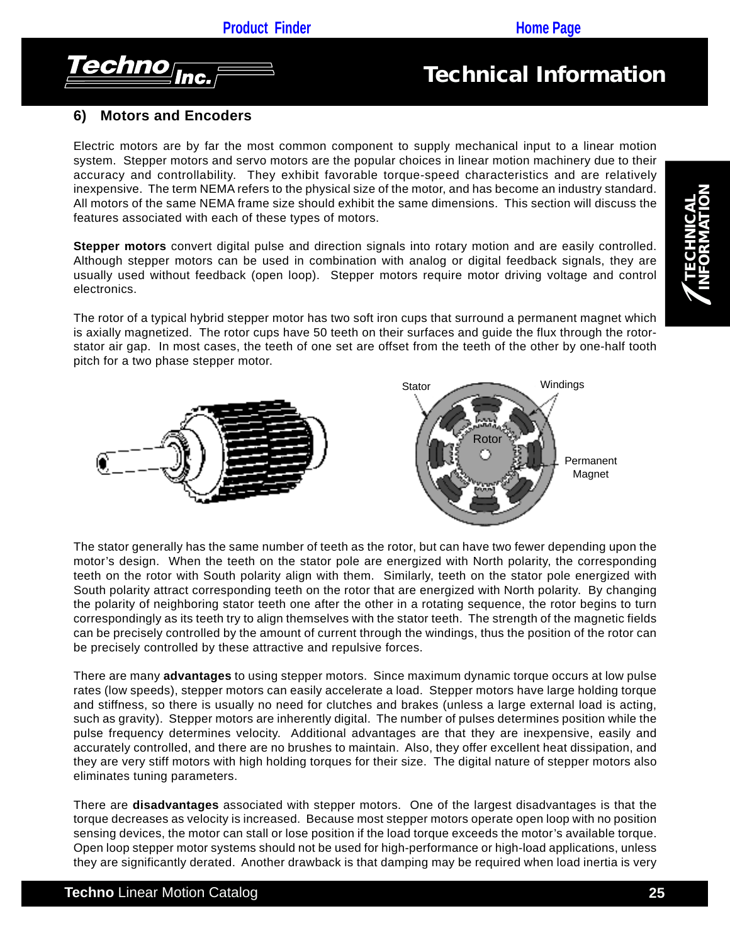

### **6) Motors and Encoders**

Electric motors are by far the most common component to supply mechanical input to a linear motion system. Stepper motors and servo motors are the popular choices in linear motion machinery due to their accuracy and controllability. They exhibit favorable torque-speed characteristics and are relatively inexpensive. The term NEMA refers to the physical size of the motor, and has become an industry standard. All motors of the same NEMA frame size should exhibit the same dimensions. This section will discuss the features associated with each of these types of motors.

**Stepper motors** convert digital pulse and direction signals into rotary motion and are easily controlled. Although stepper motors can be used in combination with analog or digital feedback signals, they are usually used without feedback (open loop). Stepper motors require motor driving voltage and control electronics.

The rotor of a typical hybrid stepper motor has two soft iron cups that surround a permanent magnet which is axially magnetized. The rotor cups have 50 teeth on their surfaces and guide the flux through the rotorstator air gap. In most cases, the teeth of one set are offset from the teeth of the other by one-half tooth pitch for a two phase stepper motor.



The stator generally has the same number of teeth as the rotor, but can have two fewer depending upon the motor's design. When the teeth on the stator pole are energized with North polarity, the corresponding teeth on the rotor with South polarity align with them. Similarly, teeth on the stator pole energized with South polarity attract corresponding teeth on the rotor that are energized with North polarity. By changing the polarity of neighboring stator teeth one after the other in a rotating sequence, the rotor begins to turn correspondingly as its teeth try to align themselves with the stator teeth. The strength of the magnetic fields can be precisely controlled by the amount of current through the windings, thus the position of the rotor can be precisely controlled by these attractive and repulsive forces.

There are many **advantages** to using stepper motors. Since maximum dynamic torque occurs at low pulse rates (low speeds), stepper motors can easily accelerate a load. Stepper motors have large holding torque and stiffness, so there is usually no need for clutches and brakes (unless a large external load is acting, such as gravity). Stepper motors are inherently digital. The number of pulses determines position while the pulse frequency determines velocity. Additional advantages are that they are inexpensive, easily and accurately controlled, and there are no brushes to maintain. Also, they offer excellent heat dissipation, and they are very stiff motors with high holding torques for their size. The digital nature of stepper motors also eliminates tuning parameters.

There are **disadvantages** associated with stepper motors. One of the largest disadvantages is that the torque decreases as velocity is increased. Because most stepper motors operate open loop with no position sensing devices, the motor can stall or lose position if the load torque exceeds the motor's available torque. Open loop stepper motor systems should not be used for high-performance or high-load applications, unless they are significantly derated. Another drawback is that damping may be required when load inertia is very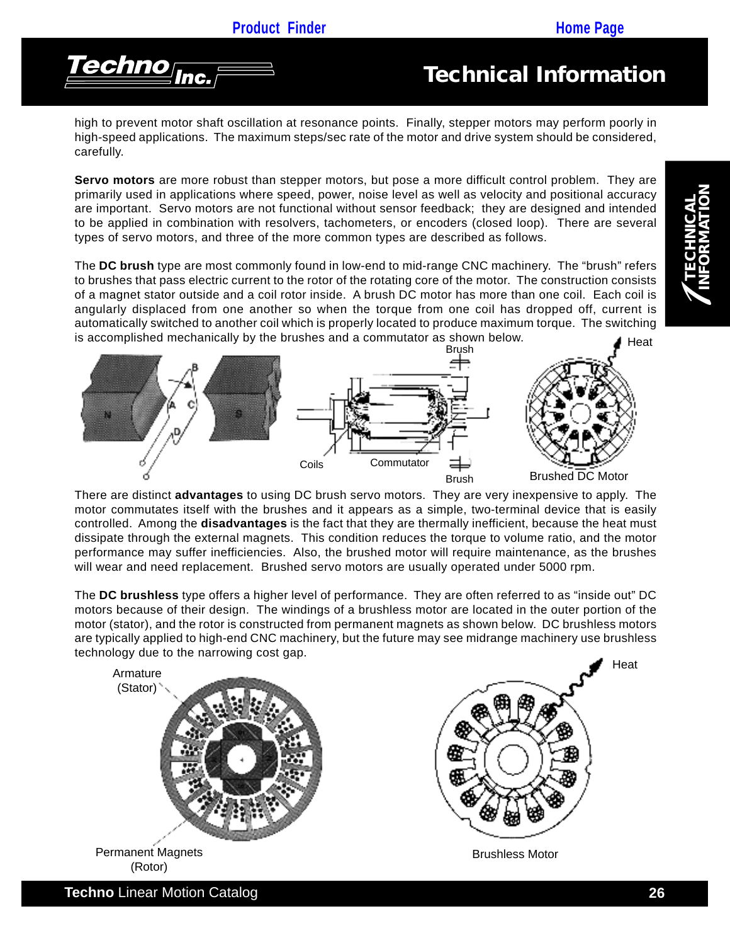

high to prevent motor shaft oscillation at resonance points. Finally, stepper motors may perform poorly in high-speed applications. The maximum steps/sec rate of the motor and drive system should be considered, carefully.

**Servo motors** are more robust than stepper motors, but pose a more difficult control problem. They are primarily used in applications where speed, power, noise level as well as velocity and positional accuracy are important. Servo motors are not functional without sensor feedback; they are designed and intended to be applied in combination with resolvers, tachometers, or encoders (closed loop). There are several types of servo motors, and three of the more common types are described as follows.

Heat The **DC brush** type are most commonly found in low-end to mid-range CNC machinery. The "brush" refers to brushes that pass electric current to the rotor of the rotating core of the motor. The construction consists of a magnet stator outside and a coil rotor inside. A brush DC motor has more than one coil. Each coil is angularly displaced from one another so when the torque from one coil has dropped off, current is automatically switched to another coil which is properly located to produce maximum torque. The switching is accomplished mechanically by the brushes and a commutator as shown below.



There are distinct **advantages** to using DC brush servo motors. They are very inexpensive to apply. The motor commutates itself with the brushes and it appears as a simple, two-terminal device that is easily controlled. Among the **disadvantages** is the fact that they are thermally inefficient, because the heat must dissipate through the external magnets. This condition reduces the torque to volume ratio, and the motor performance may suffer inefficiencies. Also, the brushed motor will require maintenance, as the brushes will wear and need replacement. Brushed servo motors are usually operated under 5000 rpm.

The **DC brushless** type offers a higher level of performance. They are often referred to as "inside out" DC motors because of their design. The windings of a brushless motor are located in the outer portion of the motor (stator), and the rotor is constructed from permanent magnets as shown below. DC brushless motors are typically applied to high-end CNC machinery, but the future may see midrange machinery use brushless technology due to the narrowing cost gap.

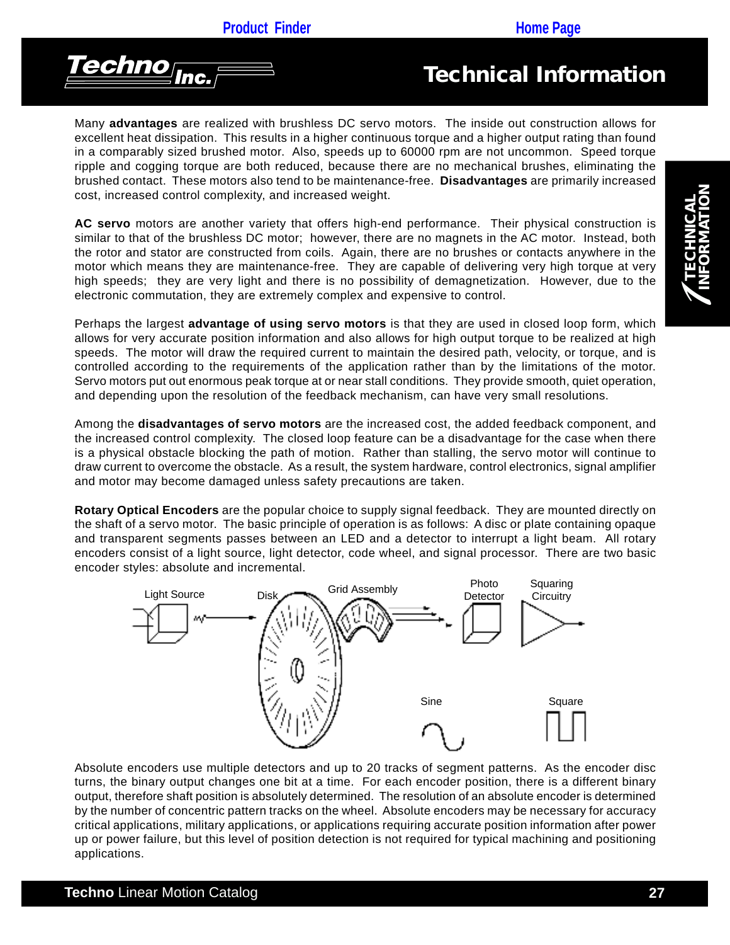

Many **advantages** are realized with brushless DC servo motors. The inside out construction allows for excellent heat dissipation. This results in a higher continuous torque and a higher output rating than found in a comparably sized brushed motor. Also, speeds up to 60000 rpm are not uncommon. Speed torque ripple and cogging torque are both reduced, because there are no mechanical brushes, eliminating the brushed contact. These motors also tend to be maintenance-free. **Disadvantages** are primarily increased cost, increased control complexity, and increased weight.

**AC servo** motors are another variety that offers high-end performance. Their physical construction is similar to that of the brushless DC motor; however, there are no magnets in the AC motor. Instead, both the rotor and stator are constructed from coils. Again, there are no brushes or contacts anywhere in the motor which means they are maintenance-free. They are capable of delivering very high torque at very high speeds; they are very light and there is no possibility of demagnetization. However, due to the electronic commutation, they are extremely complex and expensive to control.

Perhaps the largest **advantage of using servo motors** is that they are used in closed loop form, which allows for very accurate position information and also allows for high output torque to be realized at high speeds. The motor will draw the required current to maintain the desired path, velocity, or torque, and is controlled according to the requirements of the application rather than by the limitations of the motor. Servo motors put out enormous peak torque at or near stall conditions. They provide smooth, quiet operation, and depending upon the resolution of the feedback mechanism, can have very small resolutions.

Among the **disadvantages of servo motors** are the increased cost, the added feedback component, and the increased control complexity. The closed loop feature can be a disadvantage for the case when there is a physical obstacle blocking the path of motion. Rather than stalling, the servo motor will continue to draw current to overcome the obstacle. As a result, the system hardware, control electronics, signal amplifier and motor may become damaged unless safety precautions are taken.

**Rotary Optical Encoders** are the popular choice to supply signal feedback. They are mounted directly on the shaft of a servo motor. The basic principle of operation is as follows: A disc or plate containing opaque and transparent segments passes between an LED and a detector to interrupt a light beam. All rotary encoders consist of a light source, light detector, code wheel, and signal processor. There are two basic encoder styles: absolute and incremental.



Absolute encoders use multiple detectors and up to 20 tracks of segment patterns. As the encoder disc turns, the binary output changes one bit at a time. For each encoder position, there is a different binary output, therefore shaft position is absolutely determined. The resolution of an absolute encoder is determined by the number of concentric pattern tracks on the wheel. Absolute encoders may be necessary for accuracy critical applications, military applications, or applications requiring accurate position information after power up or power failure, but this level of position detection is not required for typical machining and positioning applications.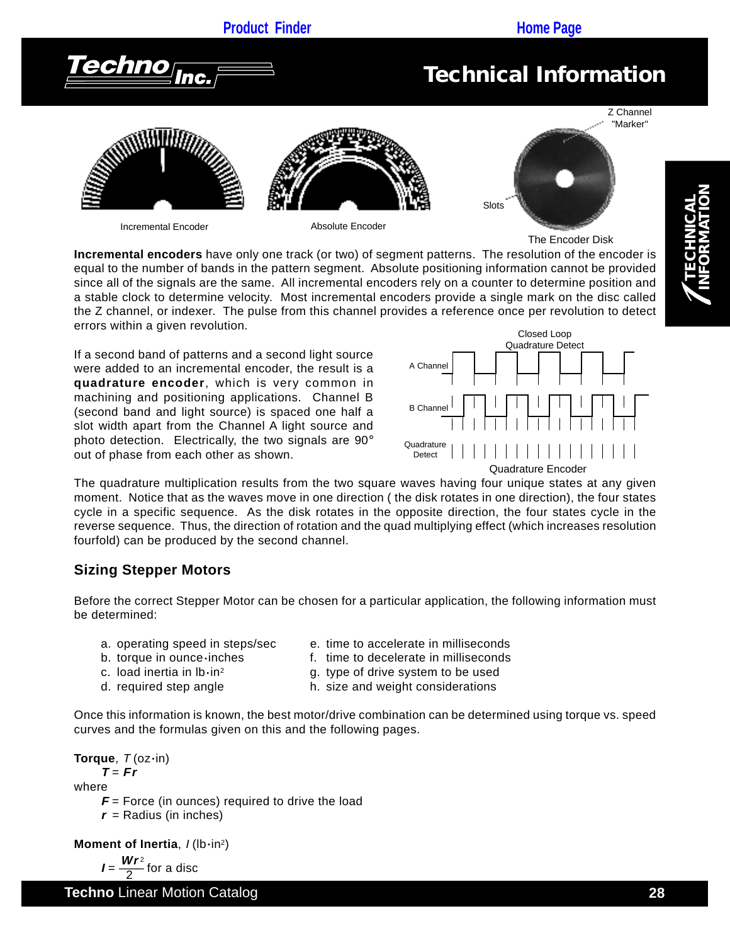# **[Product Finder](http://www.techno-isel.com/tic/LinMoProducts.htm) <b>CONS Product Finder All CONS [Home Page](http://www.techno-isel.com/tech_linearsystem.htm)** 'echno<sub>lnc.</sub> *Technical Information* Z Channel "Marker"



Incremental Encoder **Absolute Encoder** 

**Slots** 



1 **TECHNICAL INFORMATION**

**Incremental encoders** have only one track (or two) of segment patterns. The resolution of the encoder is equal to the number of bands in the pattern segment. Absolute positioning information cannot be provided since all of the signals are the same. All incremental encoders rely on a counter to determine position and a stable clock to determine velocity. Most incremental encoders provide a single mark on the disc called the Z channel, or indexer. The pulse from this channel provides a reference once per revolution to detect errors within a given revolution.

If a second band of patterns and a second light source were added to an incremental encoder, the result is a **quadrature encoder**, which is very common in machining and positioning applications. Channel B (second band and light source) is spaced one half a slot width apart from the Channel A light source and photo detection. Electrically, the two signals are 90° out of phase from each other as shown.



The quadrature multiplication results from the two square waves having four unique states at any given moment. Notice that as the waves move in one direction ( the disk rotates in one direction), the four states cycle in a specific sequence. As the disk rotates in the opposite direction, the four states cycle in the reverse sequence. Thus, the direction of rotation and the quad multiplying effect (which increases resolution fourfold) can be produced by the second channel.

### **Sizing Stepper Motors**

Before the correct Stepper Motor can be chosen for a particular application, the following information must be determined:

- 
- a. operating speed in steps/sec e. time to accelerate in milliseconds
- b. torque in ounce inches f. time to decelerate in milliseconds
- 
- 
- c. load inertia in  $Ib\cdot in^2$  g. type of drive system to be used
- d. required step angle h. size and weight considerations

Once this information is known, the best motor/drive combination can be determined using torque vs. speed curves and the formulas given on this and the following pages.

```
Torque, T (oz•in)
     T = Frwhere
      = Force (in ounces) required to drive the load
     r =Radius (in inches)
Moment of Inertia, / (lb·in<sup>2</sup>)
      I = \frac{Wr^2}{2} for a disc
```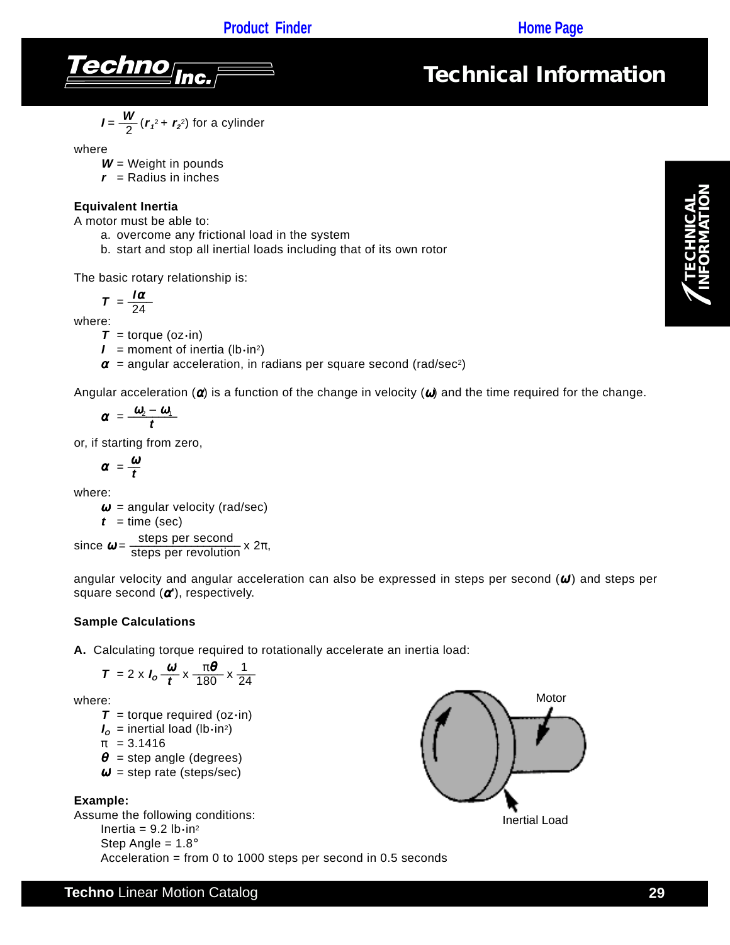

$$
I = \frac{W}{2} (r_1^2 + r_2^2)
$$
 for a cylinder

where

**W** = Weight in pounds

 $r =$ Radius in inches

#### **Equivalent Inertia**

A motor must be able to:

- a. overcome any frictional load in the system
- b. start and stop all inertial loads including that of its own rotor

The basic rotary relationship is:

$$
T = \frac{I\alpha}{24}
$$

where:

 $T =$  torque (oz $\cdot$ in)

 $I =$  moment of inertia (lb $\cdot$ in<sup>2</sup>)

 $\alpha$  = angular acceleration, in radians per square second (rad/sec<sup>2</sup>)

Angular acceleration  $\alpha$ ) is a function of the change in velocity  $\alpha$ ) and the time required for the change.

$$
\alpha = \frac{\omega_2 - \omega_1}{t}
$$

or, if starting from zero,

 $\alpha = \frac{\omega}{t}$ 

where:

 $\omega$  = angular velocity (rad/sec)  $t =$ time (sec)

since  $\boldsymbol{\omega} = \frac{\text{steps per second}}{\text{steps per revolution}} \times 2\pi$ ,

angular velocity and angular acceleration can also be expressed in steps per second (ω**'**) and steps per square second (α**'**), respectively.

#### **Sample Calculations**

**A.** Calculating torque required to rotationally accelerate an inertia load:

$$
T = 2 \times I_0 \frac{\omega}{t} \times \frac{\pi \theta}{180} \times \frac{1}{24}
$$

where:

- $T =$  torque required (oz $\cdot$ in)
- $I_{\alpha}$  = inertial load (lb·in<sup>2</sup>)

$$
\pi = 3.1416
$$

 $\theta$  = step angle (degrees)

 $\omega'$  = step rate (steps/sec)

#### **Example:**

Assume the following conditions: Inertia =  $9.2$  lb $\cdot$ in<sup>2</sup> Step Angle =  $1.8^\circ$ Acceleration = from 0 to 1000 steps per second in 0.5 seconds



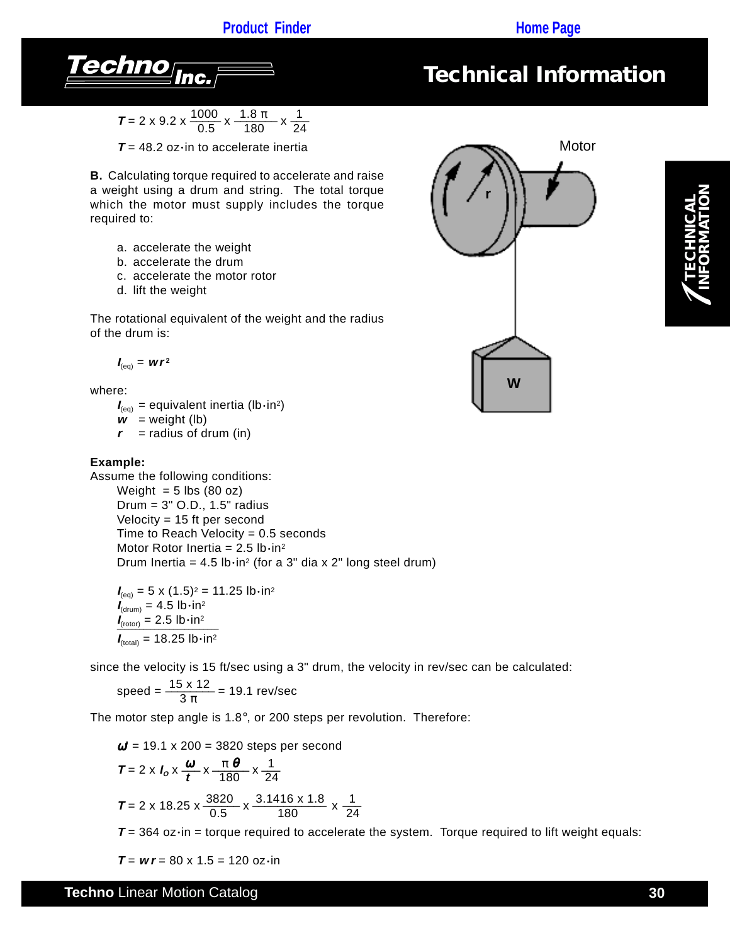### **[Product Finder](http://www.techno-isel.com/tic/LinMoProducts.htm) <b>Product Finder Product Product Product Product Product Product Product Product Product Product Product Product Product Product Product Product Product Product Product Product Product Product Product Prod**



*Technical Information*

$$
T = 2 \times 9.2 \times \frac{1000}{0.5} \times \frac{1.8 \pi}{180} \times \frac{1}{24}
$$

 $T = 48.2$  oz $\cdot$ in to accelerate inertia

**B.** Calculating torque required to accelerate and raise a weight using a drum and string. The total torque which the motor must supply includes the torque required to:

- a. accelerate the weight
- b. accelerate the drum
- c. accelerate the motor rotor
- d. lift the weight

The rotational equivalent of the weight and the radius of the drum is:

$$
I_{\text{(eq)}} = wr^2
$$

where:

 $I_{(eq)}$  = equivalent inertia (lb·in<sup>2</sup>)

 $\mathbf{w}$  = weight (lb)

 $r =$  radius of drum (in)

#### **Example:**

Assume the following conditions: Weight  $= 5$  lbs (80 oz)

Drum = 3" O.D., 1.5" radius Velocity = 15 ft per second Time to Reach Velocity  $= 0.5$  seconds Motor Rotor Inertia =  $2.5$  lb $\cdot$ in<sup>2</sup> Drum Inertia =  $4.5$  lb $\cdot$ in<sup>2</sup> (for a 3" dia x 2" long steel drum)

 $I_{(eq)} = 5 \times (1.5)^2 = 11.25$  lb•in<sup>2</sup>  $I_{\text{(drum)}} = 4.5 \text{ lb} \cdot \text{in}^2$  $I_{(rotor)} = 2.5$  lb $\cdot$ in<sup>2</sup>  $\frac{1}{I_{\text{(total)}}}$  = 18.25 lb•in<sup>2</sup>

since the velocity is 15 ft/sec using a 3" drum, the velocity in rev/sec can be calculated:

$$
speed = \frac{15 \times 12}{3 \pi} = 19.1 \text{ rev/sec}
$$

The motor step angle is 1.8°, or 200 steps per revolution. Therefore:

$$
\omega' = 19.1 \times 200 = 3820
$$
 steps per second

$$
T = 2 \times I_0 \times \frac{\omega}{t} \times \frac{\pi}{180} \times \frac{1}{24}
$$
  

$$
T = 2 \times 18.25 \times \frac{3820}{0.5} \times \frac{3.1416 \times 1.8}{180} \times \frac{1}{24}
$$

 $T = 364$  oz $\cdot$ in = torque required to accelerate the system. Torque required to lift weight equals:

 $T = wr = 80 \times 1.5 = 120$  oz $\cdot$ in

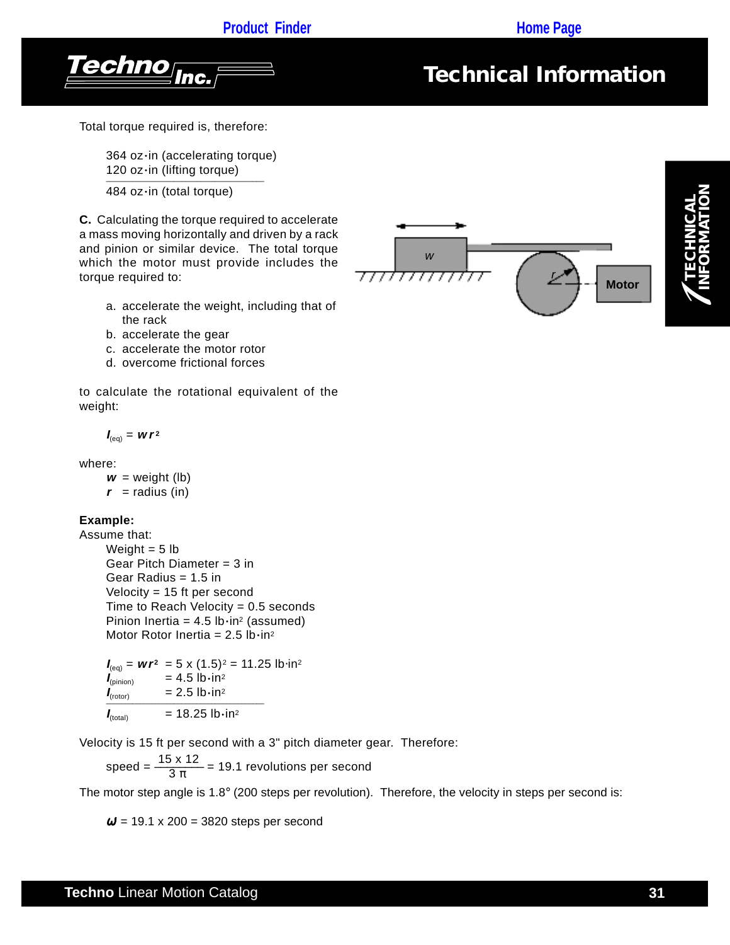



Total torque required is, therefore:

364 oz·in (accelerating torque) 120 oz·in (lifting torque) –––––––––––––––––––––––––––––––––––––––––– 484 oz·in (total torque)

**C.** Calculating the torque required to accelerate a mass moving horizontally and driven by a rack and pinion or similar device. The total torque which the motor must provide includes the torque required to:

- a. accelerate the weight, including that of the rack
- b. accelerate the gear
- c. accelerate the motor rotor
- d. overcome frictional forces

to calculate the rotational equivalent of the weight:

$$
I_{\text{(eq)}} = wr^2
$$

where:

 $w = weight (lb)$  $r =$  radius (in)

#### **Example:**

Assume that: Weight  $= 5$  lb Gear Pitch Diameter = 3 in Gear Radius = 1.5 in Velocity = 15 ft per second Time to Reach Velocity  $= 0.5$  seconds Pinion Inertia =  $4.5$  lb $\cdot$ in<sup>2</sup> (assumed)

Motor Rotor Inertia =  $2.5$  lb $\cdot$ in<sup>2</sup>

 $I_{(eq)} = wr^2 = 5 \times (1.5)^2 = 11.25$  lb⋅in<sup>2</sup>  $I_{\text{(pinion)}}$  = 4.5 lb•in<sup>2</sup>  $I_{(rotor)}$  = 2.5 lb•in<sup>2</sup>  $\overline{I_{\text{(total)}}}$  = 18.25 lb•in<sup>2</sup>

Velocity is 15 ft per second with a 3" pitch diameter gear. Therefore:

speed =  $\frac{15 \times 12}{3 \pi}$  = 19.1 revolutions per second

The motor step angle is 1.8° (200 steps per revolution). Therefore, the velocity in steps per second is:

<sup>ω</sup>**'** = 19.1 x 200 = 3820 steps per second



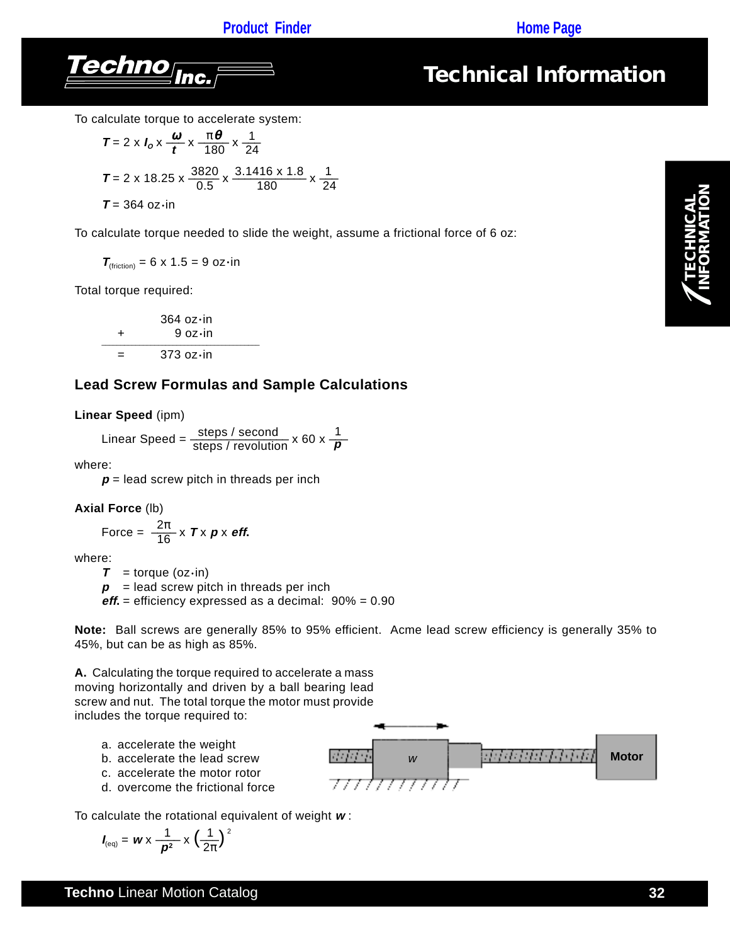### **[Product Finder](http://www.techno-isel.com/tic/LinMoProducts.htm) <b>CONS Product Finder**



## *Technical Information*

To calculate torque to accelerate system:

$$
T = 2 \times I_0 \times \frac{\omega}{t} \times \frac{\pi \theta}{180} \times \frac{1}{24}
$$
  

$$
T = 2 \times 18.25 \times \frac{3820}{0.5} \times \frac{3.1416 \times 1.8}{180} \times \frac{1}{24}
$$
  

$$
T = 364 \text{ oz-in}
$$

To calculate torque needed to slide the weight, assume a frictional force of 6 oz:

$$
T_{\text{(friction)}} = 6 \times 1.5 = 9 \text{ oz} \cdot \text{in}
$$

Total torque required:

$$
364 \text{ oz} \cdot \text{in}
$$
  
+ 9 oz·in  
= 373 oz·in

#### **Lead Screw Formulas and Sample Calculations**

**Linear Speed** (ipm)

Linear Speed = 
$$
\frac{\text{steps / second}}{\text{steps / revolution}} \times 60 \times \frac{1}{p}
$$

where:

 $p =$  lead screw pitch in threads per inch

#### **Axial Force** (lb)

Force = 
$$
\frac{2\pi}{16} \times T \times p \times \text{eff.}
$$

where:

 $T =$  torque (oz $\cdot$ in)

 $p =$  lead screw pitch in threads per inch

**eff.** = efficiency expressed as a decimal: 90% = 0.90

**Note:** Ball screws are generally 85% to 95% efficient. Acme lead screw efficiency is generally 35% to 45%, but can be as high as 85%.

**A.** Calculating the torque required to accelerate a mass moving horizontally and driven by a ball bearing lead screw and nut. The total torque the motor must provide includes the torque required to:

- a. accelerate the weight
- b. accelerate the lead screw
- c. accelerate the motor rotor
- d. overcome the frictional force

**RATION** w **Motor** *Matchlite [Alcha*] **Motor** 777777777777

To calculate the rotational equivalent of weight **w** :

$$
I_{\text{(eq)}} = \mathbf{w} \times \frac{1}{\boldsymbol{p}^2} \times \left(\frac{1}{2\pi}\right)^2
$$

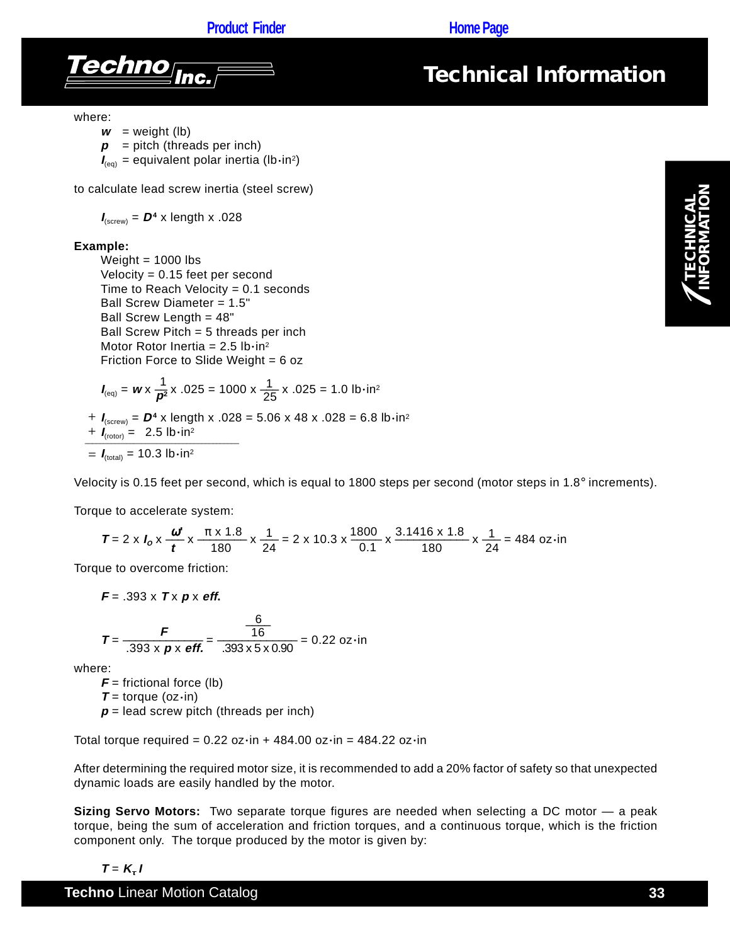**[Product Finder](http://www.techno-isel.com/tic/LinMoProducts.htm) <b>Construction Product Finder** 





where:

 $w =$  weight (lb)

 $p =$  pitch (threads per inch)

 $I_{(eq)}$  = equivalent polar inertia (lb·in<sup>2</sup>)

to calculate lead screw inertia (steel screw)

 $I_{\text{(screw)}} = D^4 \times \text{length} \times .028$ 

#### **Example:**

Weight  $= 1000$  lbs Velocity = 0.15 feet per second Time to Reach Velocity  $= 0.1$  seconds Ball Screw Diameter = 1.5" Ball Screw Length = 48" Ball Screw Pitch = 5 threads per inch Motor Rotor Inertia =  $2.5$  lb $\cdot$ in<sup>2</sup> Friction Force to Slide Weight = 6 oz

$$
I_{\text{(eq)}} = w \times \frac{1}{p^2} \times .025 = 1000 \times \frac{1}{25} \times .025 = 1.0 \text{ lb} \cdot \text{in}^2
$$

 $I_{\text{(screw)}} = D^4$  x length x .028 = 5.06 x 48 x .028 = 6.8 lb•in<sup>2</sup>  $\frac{1}{\sqrt{1-\frac{1}{(rotor)}}}$  = 2.5 lb•in<sup>2</sup>  $I_{\text{(total)}}$  = 10.3 lb $\cdot$ in<sup>2</sup>

Velocity is 0.15 feet per second, which is equal to 1800 steps per second (motor steps in 1.8° increments).

Torque to accelerate system:

$$
T = 2 \times I_0 \times \frac{\omega^4}{t} \times \frac{\pi \times 1.8}{180} \times \frac{1}{24} = 2 \times 10.3 \times \frac{1800}{0.1} \times \frac{3.1416 \times 1.8}{180} \times \frac{1}{24} = 484 \text{ oz} \cdot \text{in}
$$

Torque to overcome friction:

$$
F = .393 \times T \times p \times \text{eff.}
$$

$$
T = \frac{F}{.393 \times p \times \text{eff.}} = \frac{\frac{6}{16}}{.393 \times 5 \times 0.90} = 0.22 \text{ oz-in.}
$$

where:

 $F =$  frictional force (lb) **T** = torque (oz $\cdot$ in)  $p =$  lead screw pitch (threads per inch)

Total torque required =  $0.22$  oz $\cdot$ in + 484.00 oz $\cdot$ in = 484.22 oz $\cdot$ in

After determining the required motor size, it is recommended to add a 20% factor of safety so that unexpected dynamic loads are easily handled by the motor.

**Sizing Servo Motors:** Two separate torque figures are needed when selecting a DC motor — a peak torque, being the sum of acceleration and friction torques, and a continuous torque, which is the friction component only. The torque produced by the motor is given by:

#### $T = K_t I$